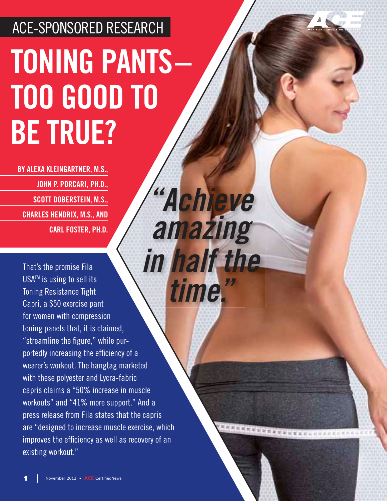## ACE-SPONSORED RESEARCH **TONING PANTS – TOO GOOD TO BE TRUE?**

*" Achieve*

*amazing* 

**ECCCECCCCCCCCCCCC** 

**BY ALEXA KLEINGARTNER, M.S., JOHN P. PORCARI, PH.D., SCOTT DOBERSTEIN, M.S., CHARLES HENDRIX, M.S., AND CARL FOSTER, PH.D.**

That's the promise Fila USA<sup>™</sup> is using to sell its Toning Resistance Tight Capri, a \$50 exercise pant for women with compression toning panels that, it is claimed, "streamline the figure," while purportedly increasing the efficiency of a wearer's workout. The hangtag marketed with these polyester and Lycra-fabric capris claims a "50% increase in muscle workouts" and "41% more support." And a press release from Fila states that the capris are "designed to increase muscle exercise, which improves the efficiency as well as recovery of an existing workout." *in half the time."*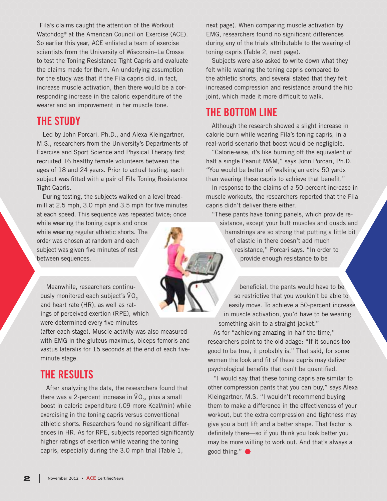Fila's claims caught the attention of the Workout Watchdog® at the American Council on Exercise (ACE). So earlier this year, ACE enlisted a team of exercise scientists from the University of Wisconsin–La Crosse to test the Toning Resistance Tight Capris and evaluate the claims made for them. An underlying assumption for the study was that if the Fila capris did, in fact, increase muscle activation, then there would be a corresponding increase in the caloric expenditure of the wearer and an improvement in her muscle tone.

## **THE STUDY**

Led by John Porcari, Ph.D., and Alexa Kleingartner, M.S., researchers from the University's Departments of Exercise and Sport Science and Physical Therapy first recruited 16 healthy female volunteers between the ages of 18 and 24 years. Prior to actual testing, each subject was fitted with a pair of Fila Toning Resistance Tight Capris.

During testing, the subjects walked on a level treadmill at 2.5 mph, 3.0 mph and 3.5 mph for five minutes at each speed. This sequence was repeated twice; once

while wearing the toning capris and once while wearing regular athletic shorts. The order was chosen at random and each subject was given five minutes of rest between sequences.

Meanwhile, researchers continuously monitored each subject's  $\mathsf{VO}_2$ and heart rate (HR), as well as ratings of perceived exertion (RPE), which were determined every five minutes

(after each stage). Muscle activity was also measured with EMG in the gluteus maximus, biceps femoris and vastus lateralis for 15 seconds at the end of each fiveminute stage.

## **THE RESULTS**

After analyzing the data, the researchers found that there was a 2-percent increase in  $\dot{\text{VO}}_2$ , plus a small boost in caloric expenditure (.09 more Kcal/min) while exercising in the toning capris versus conventional athletic shorts. Researchers found no significant differences in HR. As for RPE, subjects reported significantly higher ratings of exertion while wearing the toning capris, especially during the 3.0 mph trial (Table 1,

next page). When comparing muscle activation by EMG, researchers found no significant differences during any of the trials attributable to the wearing of toning capris (Table 2, next page).

Subjects were also asked to write down what they felt while wearing the toning capris compared to the athletic shorts, and several stated that they felt increased compression and resistance around the hip joint, which made it more difficult to walk.

## **THE BOTTOM LINE**

Although the research showed a slight increase in calorie burn while wearing Fila's toning capris, in a real-world scenario that boost would be negligible.

"Calorie-wise, it's like burning off the equivalent of half a single Peanut M&M," says John Porcari, Ph.D. "You would be better off walking an extra 50 yards than wearing these capris to achieve that benefit."

In response to the claims of a 50-percent increase in muscle workouts, the researchers reported that the Fila capris didn't deliver there either.

"These pants have toning panels, which provide resistance, except your butt muscles and quads and hamstrings are so strong that putting a little bit of elastic in there doesn't add much resistance," Porcari says. "In order to provide enough resistance to be

 beneficial, the pants would have to be so restrictive that you wouldn't be able to easily move. To achieve a 50-percent increase in muscle activation, you'd have to be wearing something akin to a straight jacket."

As for "achieving amazing in half the time," researchers point to the old adage: "If it sounds too good to be true, it probably is." That said, for some women the look and fit of these capris may deliver psychological benefits that can't be quantified.

"I would say that these toning capris are similar to other compression pants that you can buy," says Alexa Kleingartner, M.S. "I wouldn't recommend buying them to make a difference in the effectiveness of your workout, but the extra compression and tightness may give you a butt lift and a better shape. That factor is definitely there—so if you think you look better you may be more willing to work out. And that's always a good thing."